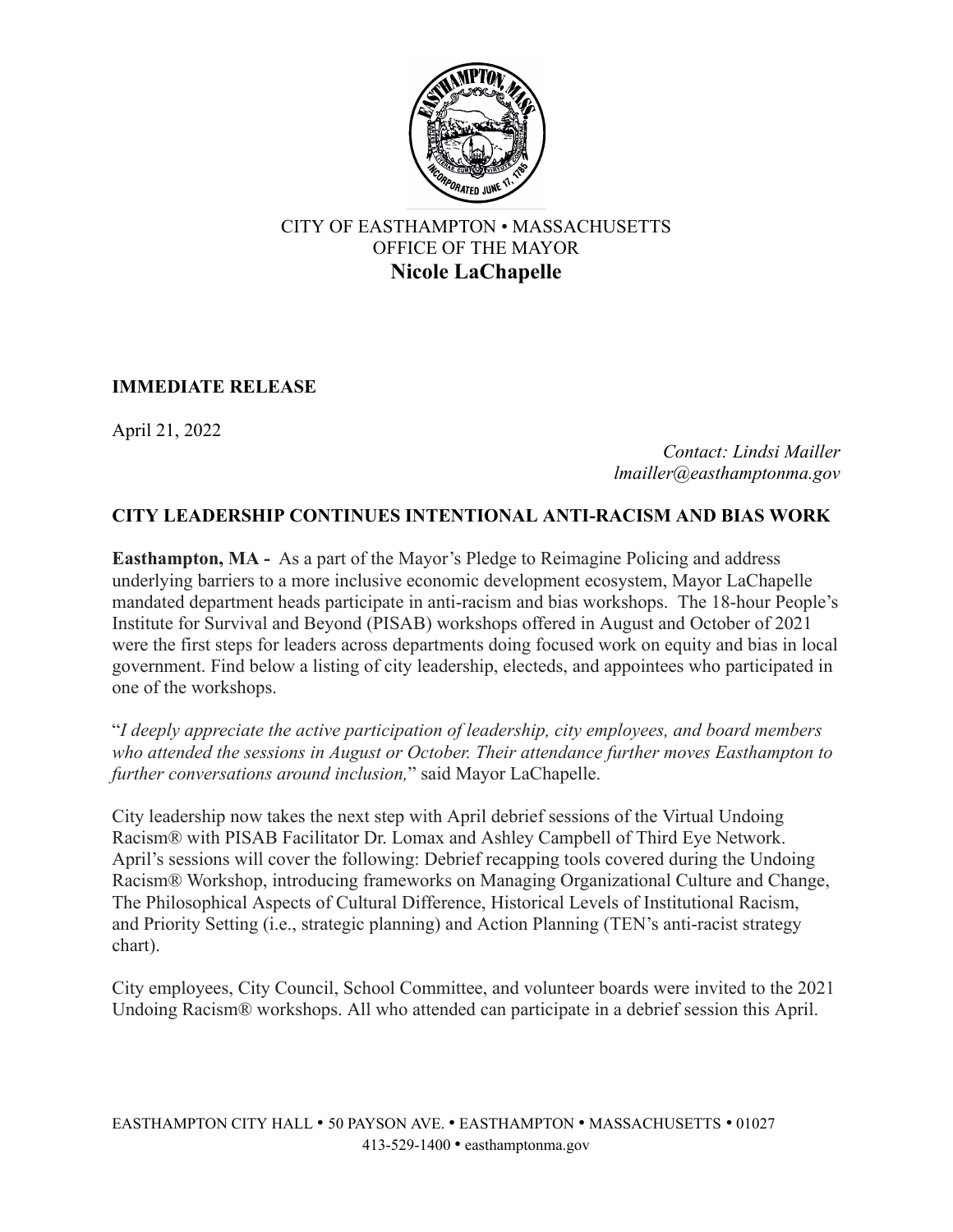

## CITY OF EASTHAMPTON • MASSACHUSETTS OFFICE OF THE MAYOR **Nicole LaChapelle**

## **IMMEDIATE RELEASE**

April 21, 2022

*Contact: Lindsi Mailler lmailler@easthamptonma.gov*

## **CITY LEADERSHIP CONTINUES INTENTIONAL ANTI-RACISM AND BIAS WORK**

**Easthampton, MA -** As a part of the Mayor's Pledge to Reimagine Policing and address underlying barriers to a more inclusive economic development ecosystem, Mayor LaChapelle mandated department heads participate in anti-racism and bias workshops. The 18-hour People's Institute for Survival and Beyond (PISAB) workshops offered in August and October of 2021 were the first steps for leaders across departments doing focused work on equity and bias in local government. Find below a listing of city leadership, electeds, and appointees who participated in one of the workshops.

"*I deeply appreciate the active participation of leadership, city employees, and board members who attended the sessions in August or October. Their attendance further moves Easthampton to further conversations around inclusion,*" said Mayor LaChapelle.

City leadership now takes the next step with April debrief sessions of the Virtual Undoing Racism® with PISAB Facilitator Dr. Lomax and Ashley Campbell of Third Eye Network. April's sessions will cover the following: Debrief recapping tools covered during the Undoing Racism® Workshop, introducing frameworks on Managing Organizational Culture and Change, The Philosophical Aspects of Cultural Difference, Historical Levels of Institutional Racism, and Priority Setting (i.e., strategic planning) and Action Planning (TEN's anti-racist strategy chart).

City employees, City Council, School Committee, and volunteer boards were invited to the 2021 Undoing Racism® workshops. All who attended can participate in a debrief session this April.